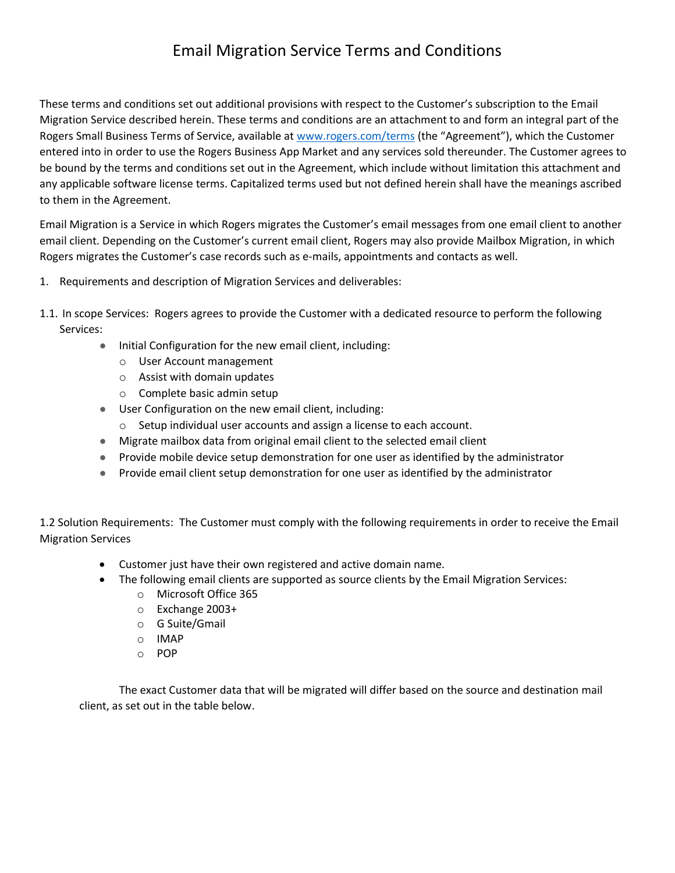## Email Migration Service Terms and Conditions

These terms and conditions set out additional provisions with respect to the Customer's subscription to the Email Migration Service described herein. These terms and conditions are an attachment to and form an integral part of the Rogers Small Business Terms of Service, available at [www.rogers.com/terms](http://www.rogers.com/terms) (the "Agreement"), which the Customer entered into in order to use the Rogers Business App Market and any services sold thereunder. The Customer agrees to be bound by the terms and conditions set out in the Agreement, which include without limitation this attachment and any applicable software license terms. Capitalized terms used but not defined herein shall have the meanings ascribed to them in the Agreement.

Email Migration is a Service in which Rogers migrates the Customer's email messages from one email client to another email client. Depending on the Customer's current email client, Rogers may also provide Mailbox Migration, in which Rogers migrates the Customer's case records such as e-mails, appointments and contacts as well.

- 1. Requirements and description of Migration Services and deliverables:
- 1.1. In scope Services: Rogers agrees to provide the Customer with a dedicated resource to perform the following Services:
	- Initial Configuration for the new email client, including:
		- o User Account management
		- o Assist with domain updates
		- o Complete basic admin setup
	- User Configuration on the new email client, including:
		- o Setup individual user accounts and assign a license to each account.
	- Migrate mailbox data from original email client to the selected email client
	- Provide mobile device setup demonstration for one user as identified by the administrator
	- Provide email client setup demonstration for one user as identified by the administrator

1.2 Solution Requirements: The Customer must comply with the following requirements in order to receive the Email Migration Services

- Customer just have their own registered and active domain name.
- The following email clients are supported as source clients by the Email Migration Services:
	- o Microsoft Office 365
	- o Exchange 2003+
	- o G Suite/Gmail
	- o IMAP
	- o POP

The exact Customer data that will be migrated will differ based on the source and destination mail client, as set out in the table below.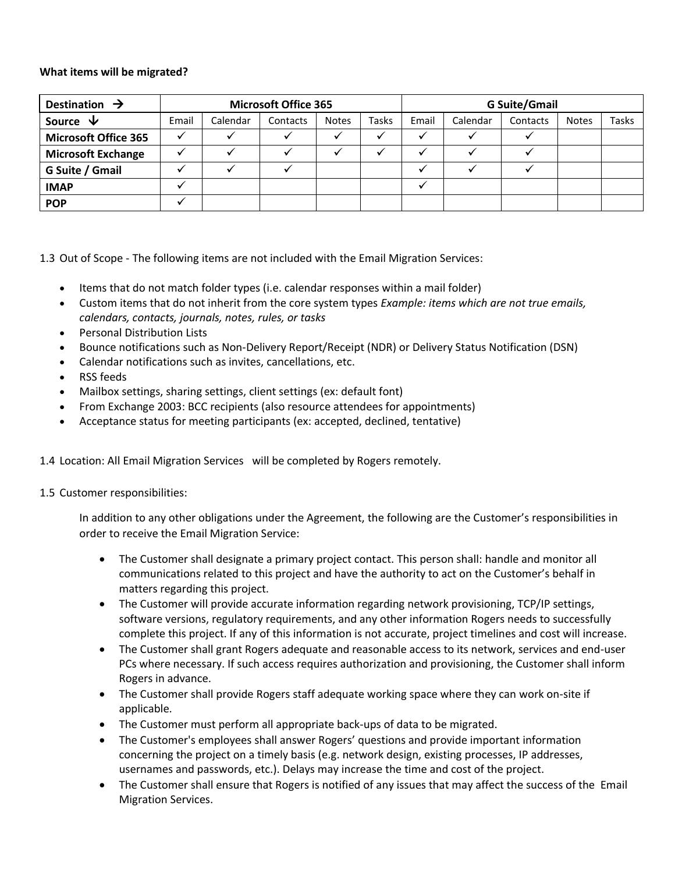## **What items will be migrated?**

| Destination $\rightarrow$   | <b>Microsoft Office 365</b> |          |          |              |              | <b>G Suite/Gmail</b> |          |          |              |              |
|-----------------------------|-----------------------------|----------|----------|--------------|--------------|----------------------|----------|----------|--------------|--------------|
| Source $\forall$            | Email                       | Calendar | Contacts | <b>Notes</b> | <b>Tasks</b> | Email                | Calendar | Contacts | <b>Notes</b> | <b>Tasks</b> |
| <b>Microsoft Office 365</b> |                             |          |          |              |              |                      |          |          |              |              |
| <b>Microsoft Exchange</b>   |                             |          |          |              |              |                      |          |          |              |              |
| G Suite / Gmail             |                             |          |          |              |              |                      |          |          |              |              |
| <b>IMAP</b>                 |                             |          |          |              |              |                      |          |          |              |              |
| <b>POP</b>                  |                             |          |          |              |              |                      |          |          |              |              |

1.3 Out of Scope - The following items are not included with the Email Migration Services:

- Items that do not match folder types (i.e. calendar responses within a mail folder)
- Custom items that do not inherit from the core system types *Example: items which are not true emails, calendars, contacts, journals, notes, rules, or tasks*
- Personal Distribution Lists
- Bounce notifications such as Non-Delivery Report/Receipt (NDR) or Delivery Status Notification (DSN)
- Calendar notifications such as invites, cancellations, etc.
- RSS feeds
- Mailbox settings, sharing settings, client settings (ex: default font)
- From Exchange 2003: BCC recipients (also resource attendees for appointments)
- Acceptance status for meeting participants (ex: accepted, declined, tentative)

1.4 Location: All Email Migration Services will be completed by Rogers remotely.

## 1.5 Customer responsibilities:

In addition to any other obligations under the Agreement, the following are the Customer's responsibilities in order to receive the Email Migration Service:

- The Customer shall designate a primary project contact. This person shall: handle and monitor all communications related to this project and have the authority to act on the Customer's behalf in matters regarding this project.
- The Customer will provide accurate information regarding network provisioning, TCP/IP settings, software versions, regulatory requirements, and any other information Rogers needs to successfully complete this project. If any of this information is not accurate, project timelines and cost will increase.
- The Customer shall grant Rogers adequate and reasonable access to its network, services and end-user PCs where necessary. If such access requires authorization and provisioning, the Customer shall inform Rogers in advance.
- The Customer shall provide Rogers staff adequate working space where they can work on-site if applicable.
- The Customer must perform all appropriate back-ups of data to be migrated.
- The Customer's employees shall answer Rogers' questions and provide important information concerning the project on a timely basis (e.g. network design, existing processes, IP addresses, usernames and passwords, etc.). Delays may increase the time and cost of the project.
- The Customer shall ensure that Rogers is notified of any issues that may affect the success of the Email Migration Services.